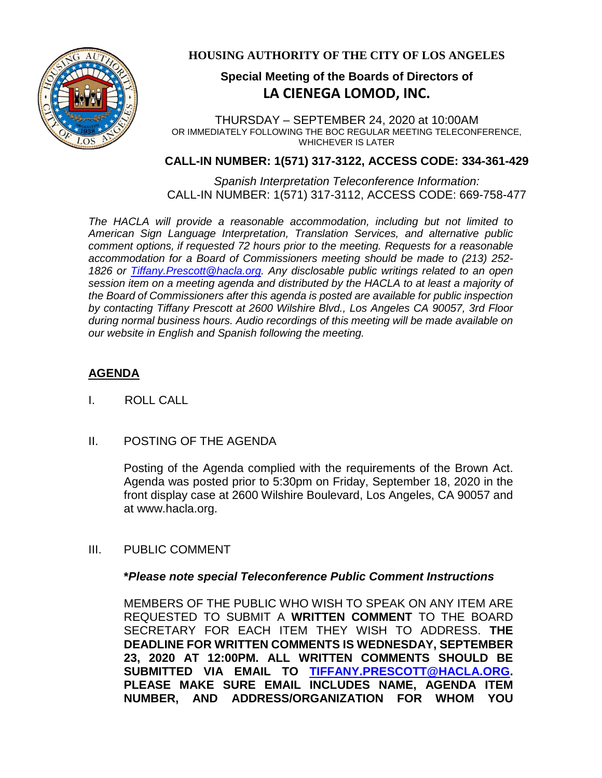

### **HOUSING AUTHORITY OF THE CITY OF LOS ANGELES**

# **Special Meeting of the Boards of Directors of LA CIENEGA LOMOD, INC.**

THURSDAY – SEPTEMBER 24, 2020 at 10:00AM OR IMMEDIATELY FOLLOWING THE BOC REGULAR MEETING TELECONFERENCE, WHICHEVER IS LATER

#### **CALL-IN NUMBER: 1(571) 317-3122, ACCESS CODE: 334-361-429**

*Spanish Interpretation Teleconference Information:* CALL-IN NUMBER: 1(571) 317-3112, ACCESS CODE: 669-758-477

*The HACLA will provide a reasonable accommodation, including but not limited to American Sign Language Interpretation, Translation Services, and alternative public comment options, if requested 72 hours prior to the meeting. Requests for a reasonable accommodation for a Board of Commissioners meeting should be made to (213) 252- 1826 or Tiffany.Prescott@hacla.org. Any disclosable public writings related to an open session item on a meeting agenda and distributed by the HACLA to at least a majority of the Board of Commissioners after this agenda is posted are available for public inspection by contacting Tiffany Prescott at 2600 Wilshire Blvd., Los Angeles CA 90057, 3rd Floor during normal business hours. Audio recordings of this meeting will be made available on our website in English and Spanish following the meeting.*

# **AGENDA**

- I. ROLL CALL
- II. POSTING OF THE AGENDA

Posting of the Agenda complied with the requirements of the Brown Act. Agenda was posted prior to 5:30pm on Friday, September 18, 2020 in the front display case at 2600 Wilshire Boulevard, Los Angeles, CA 90057 and at www.hacla.org.

III. PUBLIC COMMENT

#### **\****Please note special Teleconference Public Comment Instructions*

MEMBERS OF THE PUBLIC WHO WISH TO SPEAK ON ANY ITEM ARE REQUESTED TO SUBMIT A **WRITTEN COMMENT** TO THE BOARD SECRETARY FOR EACH ITEM THEY WISH TO ADDRESS. **THE DEADLINE FOR WRITTEN COMMENTS IS WEDNESDAY, SEPTEMBER 23, 2020 AT 12:00PM. ALL WRITTEN COMMENTS SHOULD BE SUBMITTED VIA EMAIL TO [TIFFANY.PRESCOTT@HACLA.ORG.](mailto:TIFFANY.PRESCOTT@HACLA.ORG) PLEASE MAKE SURE EMAIL INCLUDES NAME, AGENDA ITEM NUMBER, AND ADDRESS/ORGANIZATION FOR WHOM YOU**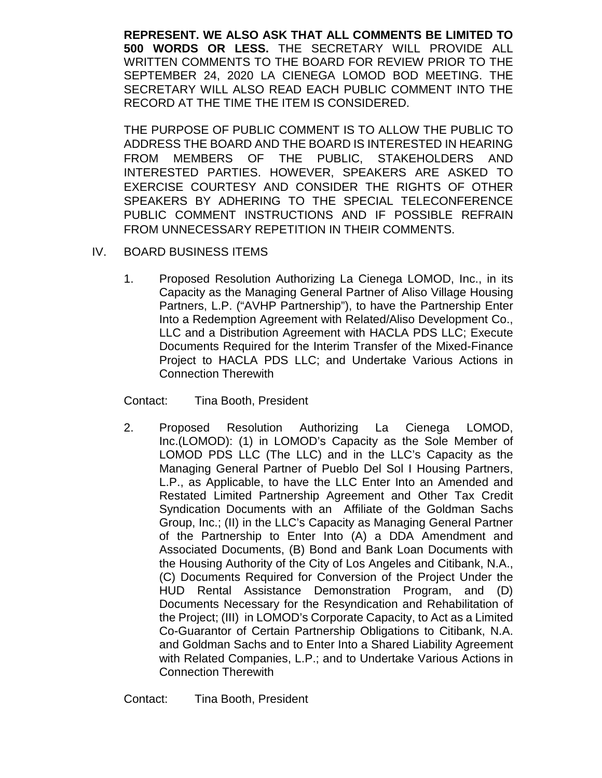**REPRESENT. WE ALSO ASK THAT ALL COMMENTS BE LIMITED TO 500 WORDS OR LESS.** THE SECRETARY WILL PROVIDE ALL WRITTEN COMMENTS TO THE BOARD FOR REVIEW PRIOR TO THE SEPTEMBER 24, 2020 LA CIENEGA LOMOD BOD MEETING. THE SECRETARY WILL ALSO READ EACH PUBLIC COMMENT INTO THE RECORD AT THE TIME THE ITEM IS CONSIDERED.

THE PURPOSE OF PUBLIC COMMENT IS TO ALLOW THE PUBLIC TO ADDRESS THE BOARD AND THE BOARD IS INTERESTED IN HEARING FROM MEMBERS OF THE PUBLIC, STAKEHOLDERS AND INTERESTED PARTIES. HOWEVER, SPEAKERS ARE ASKED TO EXERCISE COURTESY AND CONSIDER THE RIGHTS OF OTHER SPEAKERS BY ADHERING TO THE SPECIAL TELECONFERENCE PUBLIC COMMENT INSTRUCTIONS AND IF POSSIBLE REFRAIN FROM UNNECESSARY REPETITION IN THEIR COMMENTS.

- IV. BOARD BUSINESS ITEMS
	- 1. Proposed Resolution Authorizing La Cienega LOMOD, Inc., in its Capacity as the Managing General Partner of Aliso Village Housing Partners, L.P. ("AVHP Partnership"), to have the Partnership Enter Into a Redemption Agreement with Related/Aliso Development Co., LLC and a Distribution Agreement with HACLA PDS LLC; Execute Documents Required for the Interim Transfer of the Mixed-Finance Project to HACLA PDS LLC; and Undertake Various Actions in Connection Therewith

Contact: Tina Booth, President

2. Proposed Resolution Authorizing La Cienega LOMOD, Inc.(LOMOD): (1) in LOMOD's Capacity as the Sole Member of LOMOD PDS LLC (The LLC) and in the LLC's Capacity as the Managing General Partner of Pueblo Del Sol I Housing Partners, L.P., as Applicable, to have the LLC Enter Into an Amended and Restated Limited Partnership Agreement and Other Tax Credit Syndication Documents with an Affiliate of the Goldman Sachs Group, Inc.; (II) in the LLC's Capacity as Managing General Partner of the Partnership to Enter Into (A) a DDA Amendment and Associated Documents, (B) Bond and Bank Loan Documents with the Housing Authority of the City of Los Angeles and Citibank, N.A., (C) Documents Required for Conversion of the Project Under the HUD Rental Assistance Demonstration Program, and (D) Documents Necessary for the Resyndication and Rehabilitation of the Project; (III) in LOMOD's Corporate Capacity, to Act as a Limited Co-Guarantor of Certain Partnership Obligations to Citibank, N.A. and Goldman Sachs and to Enter Into a Shared Liability Agreement with Related Companies, L.P.; and to Undertake Various Actions in Connection Therewith

Contact: Tina Booth, President